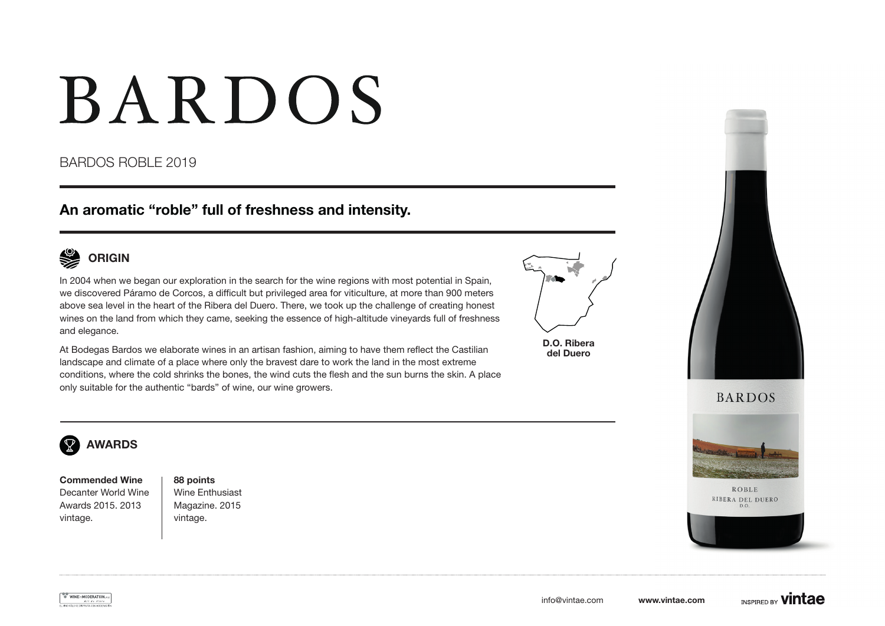# **BARDOS**

### BARDOS ROBLE 2019

### An aromatic "roble" full of freshness and intensity.



In 2004 when we began our exploration in the search for the wine regions with most potential in Spain, we discovered Páramo de Corcos, a difficult but privileged area for viticulture, at more than 900 meters above sea level in the heart of the Ribera del Duero. There, we took up the challenge of creating honest wines on the land from which they came, seeking the essence of high-altitude vineyards full of freshness and elegance.

At Bodegas Bardos we elaborate wines in an artisan fashion, aiming to have them reflect the Castilian landscape and climate of a place where only the bravest dare to work the land in the most extreme conditions, where the cold shrinks the bones, the wind cuts the flesh and the sun burns the skin. A place only suitable for the authentic "bards" of wine, our wine growers.



D.O. Ribera del Duero





**ROBLE** 



#### $\mathbf{\nabla}$ AWARDS

Commended Wine Decanter World Wine Awards 2015. 2013 vintage.

88 points Wine Enthusiast Magazine. 2015 vintage.